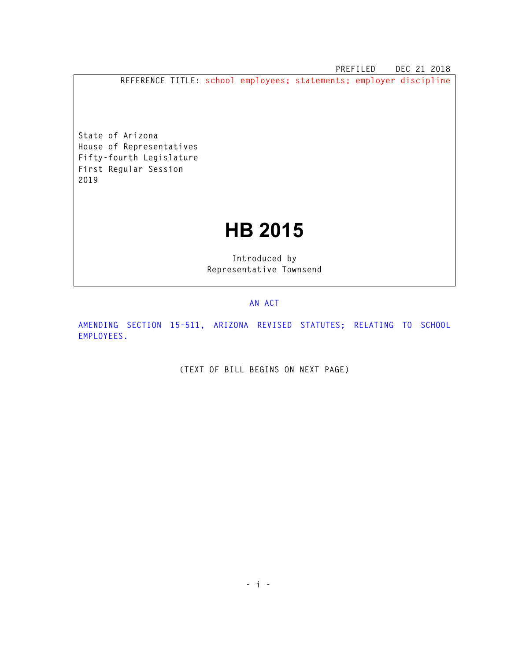**PREFILED DEC 21 2018** 

**REFERENCE TITLE: school employees; statements; employer discipline** 

**State of Arizona House of Representatives Fifty-fourth Legislature First Regular Session 2019** 

## **HB 2015**

**Introduced by Representative Townsend** 

## **AN ACT**

**AMENDING SECTION 15-511, ARIZONA REVISED STATUTES; RELATING TO SCHOOL EMPLOYEES.** 

**(TEXT OF BILL BEGINS ON NEXT PAGE)**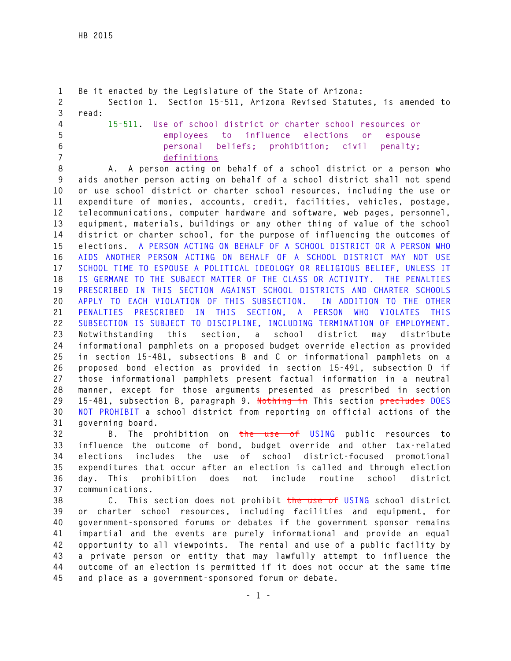```
1 Be it enacted by the Legislature of the State of Arizona: 
2 Section 1. Section 15-511, Arizona Revised Statutes, is amended to 
3 read: 
4 15-511. Use of school district or charter school resources or 
5 employees to influence elections or espouse 
6 personal beliefs; prohibition; civil penalty;
```
**7 definitions**

**8 A. A person acting on behalf of a school district or a person who 9 aids another person acting on behalf of a school district shall not spend 10 or use school district or charter school resources, including the use or 11 expenditure of monies, accounts, credit, facilities, vehicles, postage, 12 telecommunications, computer hardware and software, web pages, personnel, 13 equipment, materials, buildings or any other thing of value of the school 14 district or charter school, for the purpose of influencing the outcomes of 15 elections. A PERSON ACTING ON BEHALF OF A SCHOOL DISTRICT OR A PERSON WHO 16 AIDS ANOTHER PERSON ACTING ON BEHALF OF A SCHOOL DISTRICT MAY NOT USE 17 SCHOOL TIME TO ESPOUSE A POLITICAL IDEOLOGY OR RELIGIOUS BELIEF, UNLESS IT 18 IS GERMANE TO THE SUBJECT MATTER OF THE CLASS OR ACTIVITY. THE PENALTIES 19 PRESCRIBED IN THIS SECTION AGAINST SCHOOL DISTRICTS AND CHARTER SCHOOLS 20 APPLY TO EACH VIOLATION OF THIS SUBSECTION. IN ADDITION TO THE OTHER 21 PENALTIES PRESCRIBED IN THIS SECTION, A PERSON WHO VIOLATES THIS 22 SUBSECTION IS SUBJECT TO DISCIPLINE, INCLUDING TERMINATION OF EMPLOYMENT. 23 Notwithstanding this section, a school district may distribute 24 informational pamphlets on a proposed budget override election as provided 25 in section 15-481, subsections B and C or informational pamphlets on a 26 proposed bond election as provided in section 15-491, subsection D if 27 those informational pamphlets present factual information in a neutral 28 manner, except for those arguments presented as prescribed in section 29 15-481, subsection B, paragraph 9. Nothing in This section precludes DOES 30 NOT PROHIBIT a school district from reporting on official actions of the 31 governing board.** 

**32 B. The prohibition on the use of USING public resources to 33 influence the outcome of bond, budget override and other tax-related 34 elections includes the use of school district-focused promotional 35 expenditures that occur after an election is called and through election 36 day. This prohibition does not include routine school district 37 communications.** 

**38 C. This section does not prohibit the use of USING school district 39 or charter school resources, including facilities and equipment, for 40 government-sponsored forums or debates if the government sponsor remains 41 impartial and the events are purely informational and provide an equal 42 opportunity to all viewpoints. The rental and use of a public facility by 43 a private person or entity that may lawfully attempt to influence the 44 outcome of an election is permitted if it does not occur at the same time 45 and place as a government-sponsored forum or debate.**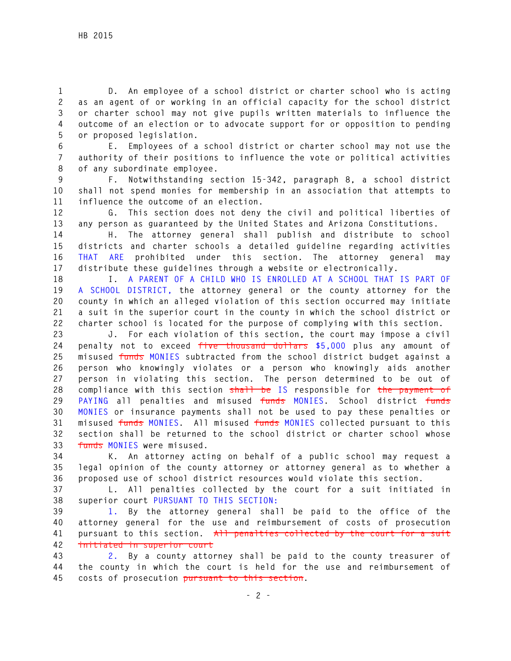**1 D. An employee of a school district or charter school who is acting 2 as an agent of or working in an official capacity for the school district 3 or charter school may not give pupils written materials to influence the 4 outcome of an election or to advocate support for or opposition to pending 5 or proposed legislation.** 

**6 E. Employees of a school district or charter school may not use the 7 authority of their positions to influence the vote or political activities 8 of any subordinate employee.** 

**9 F. Notwithstanding section 15-342, paragraph 8, a school district 10 shall not spend monies for membership in an association that attempts to 11 influence the outcome of an election.** 

**12 G. This section does not deny the civil and political liberties of 13 any person as guaranteed by the United States and Arizona Constitutions.** 

**14 H. The attorney general shall publish and distribute to school 15 districts and charter schools a detailed guideline regarding activities 16 THAT ARE prohibited under this section. The attorney general may 17 distribute these guidelines through a website or electronically.** 

**18 I. A PARENT OF A CHILD WHO IS ENROLLED AT A SCHOOL THAT IS PART OF 19 A SCHOOL DISTRICT, the attorney general or the county attorney for the 20 county in which an alleged violation of this section occurred may initiate 21 a suit in the superior court in the county in which the school district or 22 charter school is located for the purpose of complying with this section.** 

**23 J. For each violation of this section, the court may impose a civil 24 penalty not to exceed five thousand dollars \$5,000 plus any amount of 25 misused funds MONIES subtracted from the school district budget against a 26 person who knowingly violates or a person who knowingly aids another 27 person in violating this section. The person determined to be out of 28 compliance with this section shall be IS responsible for the payment of 29 PAYING all penalties and misused funds MONIES. School district funds 30 MONIES or insurance payments shall not be used to pay these penalties or 31 misused funds MONIES. All misused funds MONIES collected pursuant to this 32 section shall be returned to the school district or charter school whose 33 funds MONIES were misused.** 

**34 K. An attorney acting on behalf of a public school may request a 35 legal opinion of the county attorney or attorney general as to whether a 36 proposed use of school district resources would violate this section.** 

**37 L. All penalties collected by the court for a suit initiated in 38 superior court PURSUANT TO THIS SECTION:** 

**39 1. By the attorney general shall be paid to the office of the 40 attorney general for the use and reimbursement of costs of prosecution 41 pursuant to this section. All penalties collected by the court for a suit 42 initiated in superior court** 

**43 2. By a county attorney shall be paid to the county treasurer of 44 the county in which the court is held for the use and reimbursement of 45 costs of prosecution pursuant to this section.**